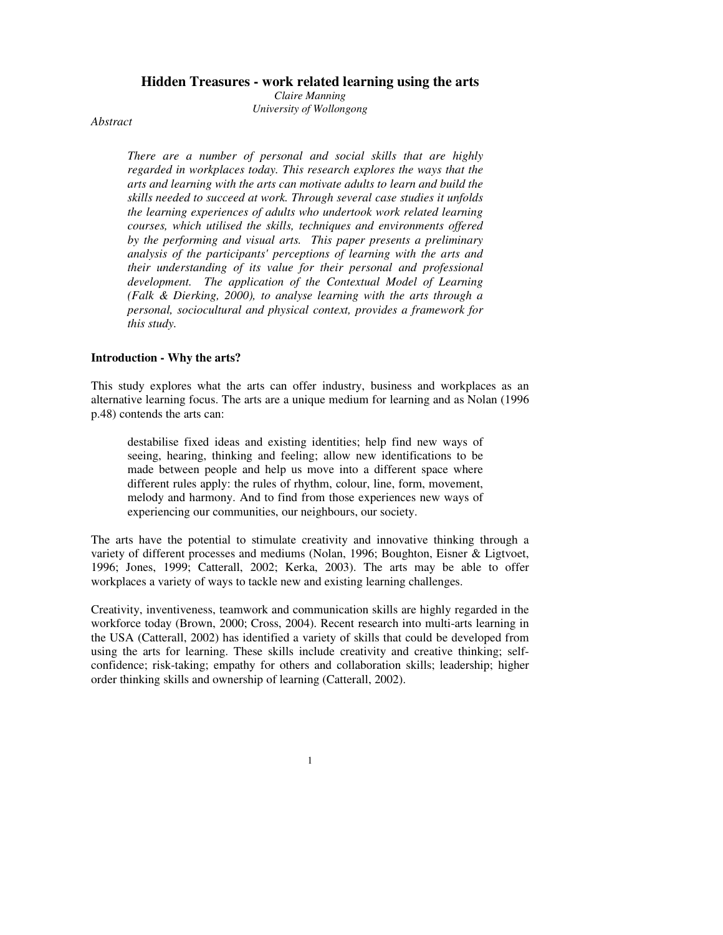### **Hidden Treasures - work related learning using the arts**

*Claire Manning University of Wollongong*

*Abstract*

*There are a number of personal and social skills that are highly regarded in workplaces today. This research explores the ways that the arts and learning with the arts can motivate adults to learn and build the skills needed to succeed at work. Through several case studies it unfolds the learning experiences of adults who undertook work related learning courses, which utilised the skills, techniques and environments offered by the performing and visual arts. This paper presents a preliminary analysis of the participants' perceptions of learning with the arts and their understanding of its value for their personal and professional development. The application of the Contextual Model of Learning (Falk & Dierking, 2000), to analyse learning with the arts through a personal, sociocultural and physical context, provides a framework for this study.*

## **Introduction - Why the arts?**

This study explores what the arts can offer industry, business and workplaces as an alternative learning focus. The arts are a unique medium for learning and as Nolan (1996 p.48) contends the arts can:

destabilise fixed ideas and existing identities; help find new ways of seeing, hearing, thinking and feeling; allow new identifications to be made between people and help us move into a different space where different rules apply: the rules of rhythm, colour, line, form, movement, melody and harmony. And to find from those experiences new ways of experiencing our communities, our neighbours, our society.

The arts have the potential to stimulate creativity and innovative thinking through a variety of different processes and mediums (Nolan, 1996; Boughton, Eisner & Ligtvoet, 1996; Jones, 1999; Catterall, 2002; Kerka, 2003). The arts may be able to offer workplaces a variety of ways to tackle new and existing learning challenges.

Creativity, inventiveness, teamwork and communication skills are highly regarded in the workforce today (Brown, 2000; Cross, 2004). Recent research into multi-arts learning in the USA (Catterall, 2002) has identified a variety of skills that could be developed from using the arts for learning. These skills include creativity and creative thinking; selfconfidence; risk-taking; empathy for others and collaboration skills; leadership; higher order thinking skills and ownership of learning (Catterall, 2002).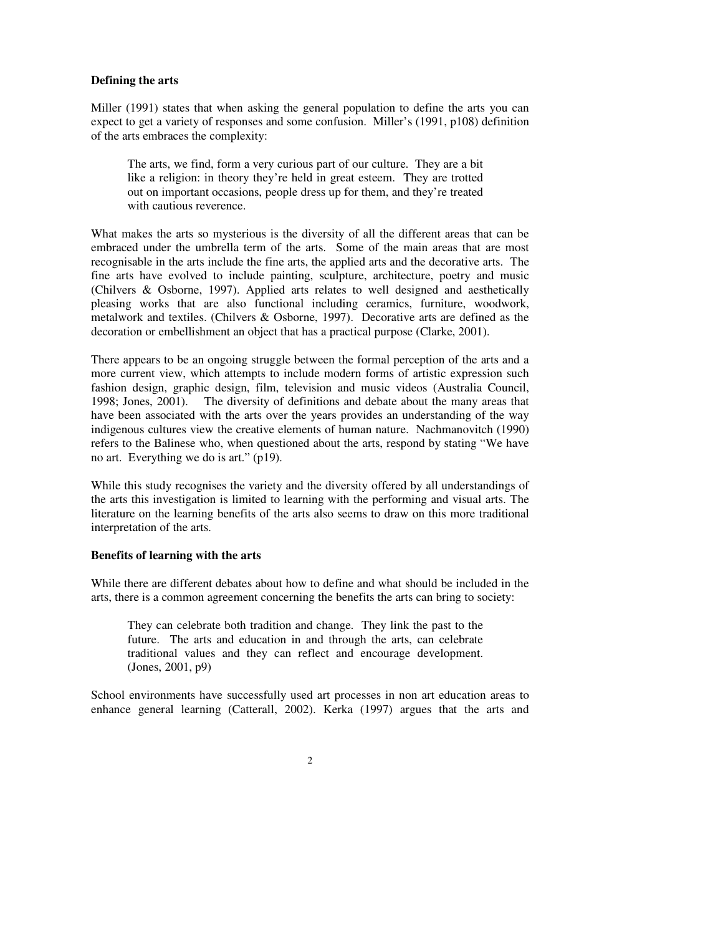# **Defining the arts**

Miller (1991) states that when asking the general population to define the arts you can expect to get a variety of responses and some confusion. Miller's (1991, p108) definition of the arts embraces the complexity:

The arts, we find, form a very curious part of our culture. They are a bit like a religion: in theory they're held in great esteem. They are trotted out on important occasions, people dress up for them, and they're treated with cautious reverence.

What makes the arts so mysterious is the diversity of all the different areas that can be embraced under the umbrella term of the arts. Some of the main areas that are most recognisable in the arts include the fine arts, the applied arts and the decorative arts. The fine arts have evolved to include painting, sculpture, architecture, poetry and music (Chilvers & Osborne, 1997). Applied arts relates to well designed and aesthetically pleasing works that are also functional including ceramics, furniture, woodwork, metalwork and textiles. (Chilvers & Osborne, 1997). Decorative arts are defined as the decoration or embellishment an object that has a practical purpose (Clarke, 2001).

There appears to be an ongoing struggle between the formal perception of the arts and a more current view, which attempts to include modern forms of artistic expression such fashion design, graphic design, film, television and music videos (Australia Council, 1998; Jones, 2001). The diversity of definitions and debate about the many areas that have been associated with the arts over the years provides an understanding of the way indigenous cultures view the creative elements of human nature. Nachmanovitch (1990) refers to the Balinese who, when questioned about the arts, respond by stating "We have no art. Everything we do is art." (p19).

While this study recognises the variety and the diversity offered by all understandings of the arts this investigation is limited to learning with the performing and visual arts. The literature on the learning benefits of the arts also seems to draw on this more traditional interpretation of the arts.

## **Benefits of learning with the arts**

While there are different debates about how to define and what should be included in the arts, there is a common agreement concerning the benefits the arts can bring to society:

They can celebrate both tradition and change. They link the past to the future. The arts and education in and through the arts, can celebrate traditional values and they can reflect and encourage development. (Jones, 2001, p9)

School environments have successfully used art processes in non art education areas to enhance general learning (Catterall, 2002). Kerka (1997) argues that the arts and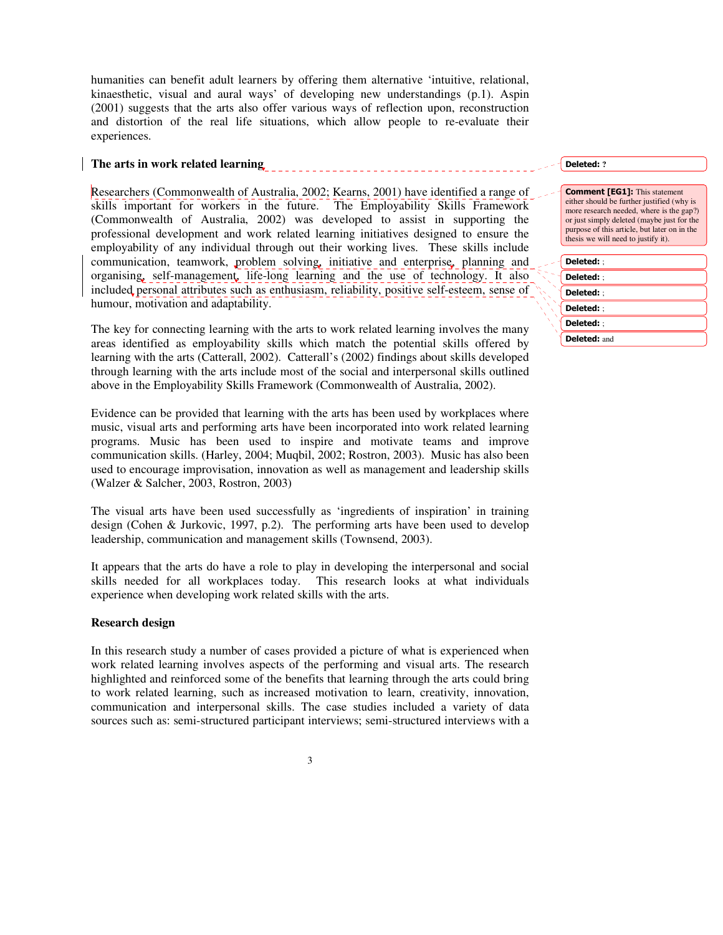humanities can benefit adult learners by offering them alternative 'intuitive, relational, kinaesthetic, visual and aural ways' of developing new understandings (p.1). Aspin (2001) suggests that the arts also offer various ways of reflection upon, reconstruction and distortion of the real life situations, which allow people to re-evaluate their experiences.

# **The arts in work related learning**

Researchers (Commonwealth of Australia, 2002; Kearns, 2001) have identified a range of skills important for workers in the future. The Employability Skills Framework (Commonwealth of Australia, 2002) was developed to assist in supporting the professional development and work related learning initiatives designed to ensure the employability of any individual through out their working lives. These skills include communication, teamwork, problem solving, initiative and enterprise, planning and organising, self-management, life-long learning and the use of technology. It also included personal attributes such as enthusiasm, reliability, positive self-esteem, sense of humour, motivation and adaptability.

The key for connecting learning with the arts to work related learning involves the many areas identified as employability skills which match the potential skills offered by learning with the arts (Catterall, 2002). Catterall's (2002) findings about skills developed through learning with the arts include most of the social and interpersonal skills outlined above in the Employability Skills Framework (Commonwealth of Australia, 2002).

Evidence can be provided that learning with the arts has been used by workplaces where music, visual arts and performing arts have been incorporated into work related learning programs. Music has been used to inspire and motivate teams and improve communication skills. (Harley, 2004; Muqbil, 2002; Rostron, 2003). Music has also been used to encourage improvisation, innovation as well as management and leadership skills (Walzer & Salcher, 2003, Rostron, 2003)

The visual arts have been used successfully as 'ingredients of inspiration' in training design (Cohen & Jurkovic, 1997, p.2). The performing arts have been used to develop leadership, communication and management skills (Townsend, 2003).

It appears that the arts do have a role to play in developing the interpersonal and social skills needed for all workplaces today. This research looks at what individuals experience when developing work related skills with the arts.

## **Research design**

In this research study a number of cases provided a picture of what is experienced when work related learning involves aspects of the performing and visual arts. The research highlighted and reinforced some of the benefits that learning through the arts could bring to work related learning, such as increased motivation to learn, creativity, innovation, communication and interpersonal skills. The case studies included a variety of data sources such as: semi-structured participant interviews; semi-structured interviews with a

Deleted: ?

| Deleted: ;   |  |
|--------------|--|
| Deleted: :   |  |
| Deleted: :   |  |
| Deleted: :   |  |
| Deleted: :   |  |
| Deleted: and |  |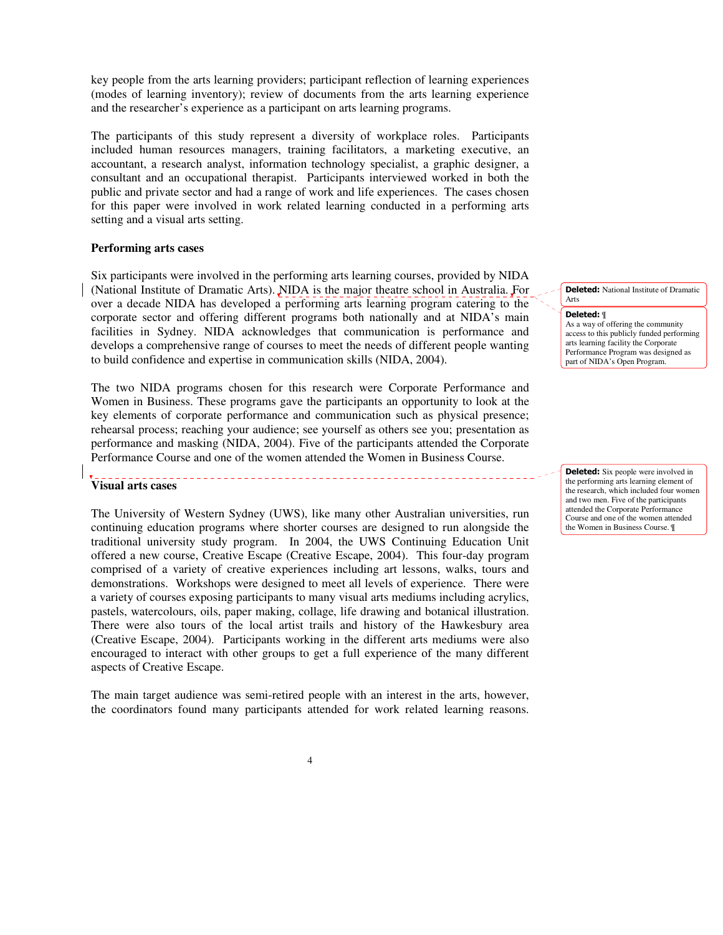key people from the arts learning providers; participant reflection of learning experiences (modes of learning inventory); review of documents from the arts learning experience and the researcher's experience as a participant on arts learning programs.

The participants of this study represent a diversity of workplace roles. Participants included human resources managers, training facilitators, a marketing executive, an accountant, a research analyst, information technology specialist, a graphic designer, a consultant and an occupational therapist. Participants interviewed worked in both the public and private sector and had a range of work and life experiences. The cases chosen for this paper were involved in work related learning conducted in a performing arts setting and a visual arts setting.

### **Performing arts cases**

Six participants were involved in the performing arts learning courses, provided by NIDA (National Institute of Dramatic Arts). NIDA is the major theatre school in Australia. For over a decade NIDA has developed a performing arts learning program catering to the corporate sector and offering different programs both nationally and at NIDA's main facilities in Sydney. NIDA acknowledges that communication is performance and develops a comprehensive range of courses to meet the needs of different people wanting to build confidence and expertise in communication skills (NIDA, 2004).

The two NIDA programs chosen for this research were Corporate Performance and Women in Business. These programs gave the participants an opportunity to look at the key elements of corporate performance and communication such as physical presence; rehearsal process; reaching your audience; see yourself as others see you; presentation as performance and masking (NIDA, 2004). Five of the participants attended the Corporate Performance Course and one of the women attended the Women in Business Course.

### **Visual arts cases**

The University of Western Sydney (UWS), like many other Australian universities, run continuing education programs where shorter courses are designed to run alongside the traditional university study program. In 2004, the UWS Continuing Education Unit offered a new course, Creative Escape (Creative Escape, 2004). This four-day program comprised of a variety of creative experiences including art lessons, walks, tours and demonstrations. Workshops were designed to meet all levels of experience. There were a variety of courses exposing participants to many visual arts mediums including acrylics, pastels, watercolours, oils, paper making, collage, life drawing and botanical illustration. There were also tours of the local artist trails and history of the Hawkesbury area (Creative Escape, 2004). Participants working in the different arts mediums were also encouraged to interact with other groups to get a full experience of the many different aspects of Creative Escape.

The main target audience was semi-retired people with an interest in the arts, however, the coordinators found many participants attended for work related learning reasons.

**Deleted:** National Institute of Dramatic Arts

#### Deleted: ¶

As a way of offering the community access to this publicly funded performing arts learning facility the Corporate Performance Program was designed as part of NIDA's Open Program

**Deleted:** Six people were involved in the performing arts learning element of the research, which included four women and two men. Five of the participants attended the Corporate Performance Course and one of the women attended the Women in Business Course. ¶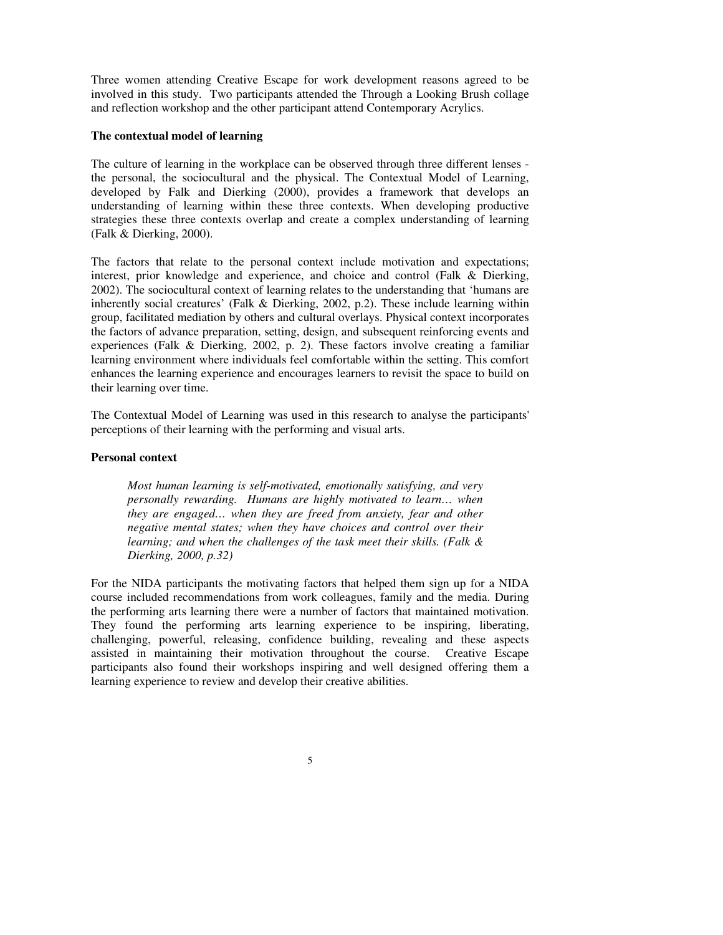Three women attending Creative Escape for work development reasons agreed to be involved in this study. Two participants attended the Through a Looking Brush collage and reflection workshop and the other participant attend Contemporary Acrylics.

# **The contextual model of learning**

The culture of learning in the workplace can be observed through three different lenses the personal, the sociocultural and the physical. The Contextual Model of Learning, developed by Falk and Dierking (2000), provides a framework that develops an understanding of learning within these three contexts. When developing productive strategies these three contexts overlap and create a complex understanding of learning (Falk & Dierking, 2000).

The factors that relate to the personal context include motivation and expectations; interest, prior knowledge and experience, and choice and control (Falk & Dierking, 2002). The sociocultural context of learning relates to the understanding that 'humans are inherently social creatures' (Falk & Dierking, 2002, p.2). These include learning within group, facilitated mediation by others and cultural overlays. Physical context incorporates the factors of advance preparation, setting, design, and subsequent reinforcing events and experiences (Falk & Dierking, 2002, p. 2). These factors involve creating a familiar learning environment where individuals feel comfortable within the setting. This comfort enhances the learning experience and encourages learners to revisit the space to build on their learning over time.

The Contextual Model of Learning was used in this research to analyse the participants' perceptions of their learning with the performing and visual arts.

## **Personal context**

*Most human learning is self-motivated, emotionally satisfying, and very personally rewarding. Humans are highly motivated to learn… when they are engaged… when they are freed from anxiety, fear and other negative mental states; when they have choices and control over their learning; and when the challenges of the task meet their skills. (Falk & Dierking, 2000, p.32)*

For the NIDA participants the motivating factors that helped them sign up for a NIDA course included recommendations from work colleagues, family and the media. During the performing arts learning there were a number of factors that maintained motivation. They found the performing arts learning experience to be inspiring, liberating, challenging, powerful, releasing, confidence building, revealing and these aspects assisted in maintaining their motivation throughout the course. Creative Escape participants also found their workshops inspiring and well designed offering them a learning experience to review and develop their creative abilities.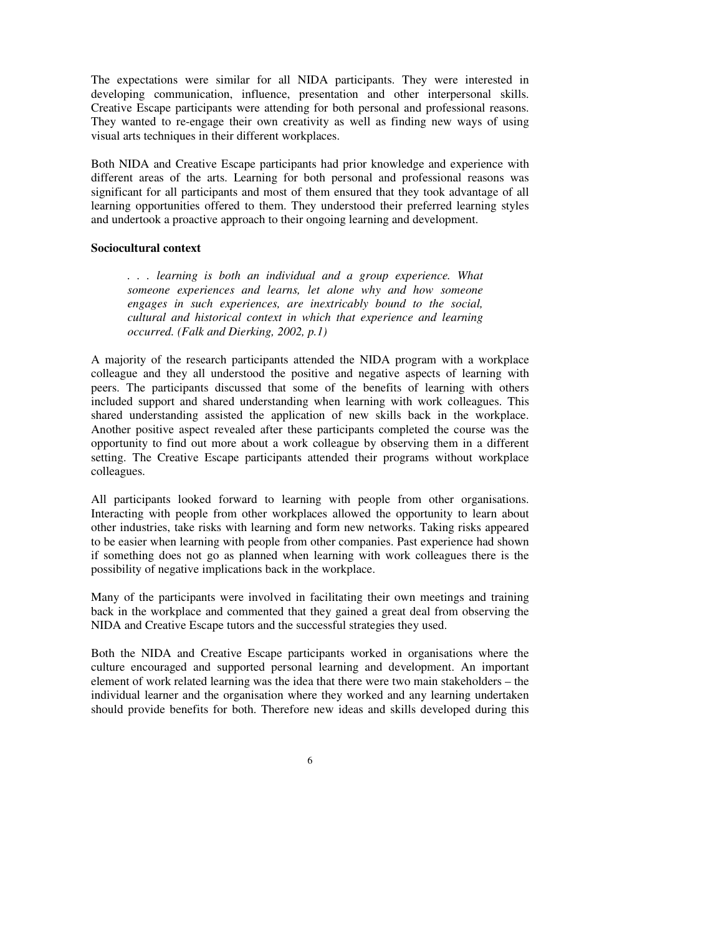The expectations were similar for all NIDA participants. They were interested in developing communication, influence, presentation and other interpersonal skills. Creative Escape participants were attending for both personal and professional reasons. They wanted to re-engage their own creativity as well as finding new ways of using visual arts techniques in their different workplaces.

Both NIDA and Creative Escape participants had prior knowledge and experience with different areas of the arts. Learning for both personal and professional reasons was significant for all participants and most of them ensured that they took advantage of all learning opportunities offered to them. They understood their preferred learning styles and undertook a proactive approach to their ongoing learning and development.

# **Sociocultural context**

*. . . learning is both an individual and a group experience. What someone experiences and learns, let alone why and how someone engages in such experiences, are inextricably bound to the social, cultural and historical context in which that experience and learning occurred. (Falk and Dierking, 2002, p.1)*

A majority of the research participants attended the NIDA program with a workplace colleague and they all understood the positive and negative aspects of learning with peers. The participants discussed that some of the benefits of learning with others included support and shared understanding when learning with work colleagues. This shared understanding assisted the application of new skills back in the workplace. Another positive aspect revealed after these participants completed the course was the opportunity to find out more about a work colleague by observing them in a different setting. The Creative Escape participants attended their programs without workplace colleagues.

All participants looked forward to learning with people from other organisations. Interacting with people from other workplaces allowed the opportunity to learn about other industries, take risks with learning and form new networks. Taking risks appeared to be easier when learning with people from other companies. Past experience had shown if something does not go as planned when learning with work colleagues there is the possibility of negative implications back in the workplace.

Many of the participants were involved in facilitating their own meetings and training back in the workplace and commented that they gained a great deal from observing the NIDA and Creative Escape tutors and the successful strategies they used.

Both the NIDA and Creative Escape participants worked in organisations where the culture encouraged and supported personal learning and development. An important element of work related learning was the idea that there were two main stakeholders – the individual learner and the organisation where they worked and any learning undertaken should provide benefits for both. Therefore new ideas and skills developed during this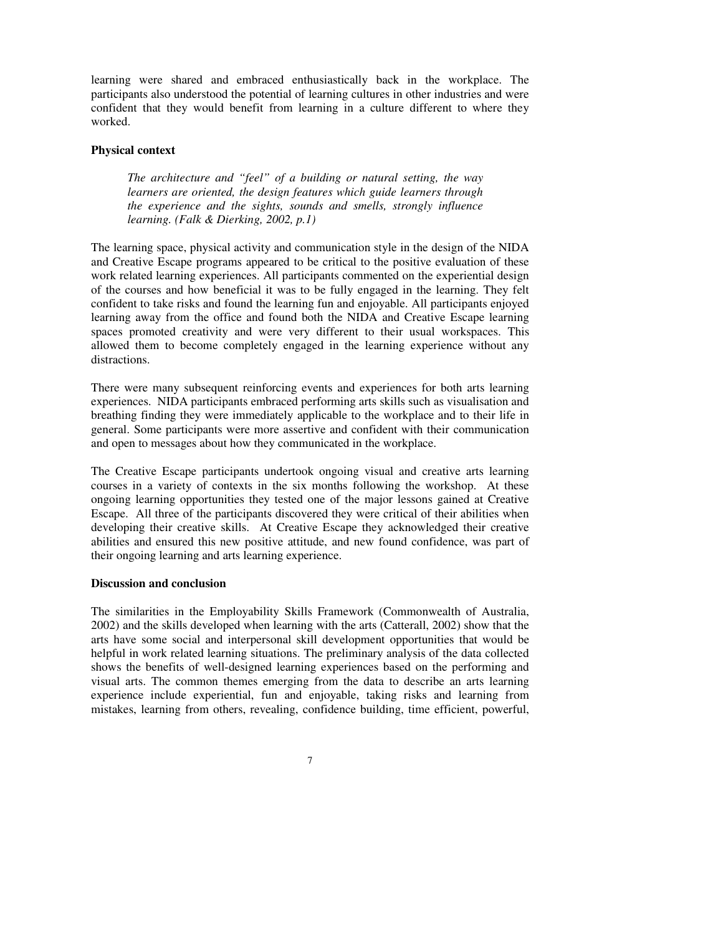learning were shared and embraced enthusiastically back in the workplace. The participants also understood the potential of learning cultures in other industries and were confident that they would benefit from learning in a culture different to where they worked.

# **Physical context**

*The architecture and "feel" of a building or natural setting, the way learners are oriented, the design features which guide learners through the experience and the sights, sounds and smells, strongly influence learning. (Falk & Dierking, 2002, p.1)*

The learning space, physical activity and communication style in the design of the NIDA and Creative Escape programs appeared to be critical to the positive evaluation of these work related learning experiences. All participants commented on the experiential design of the courses and how beneficial it was to be fully engaged in the learning. They felt confident to take risks and found the learning fun and enjoyable. All participants enjoyed learning away from the office and found both the NIDA and Creative Escape learning spaces promoted creativity and were very different to their usual workspaces. This allowed them to become completely engaged in the learning experience without any distractions.

There were many subsequent reinforcing events and experiences for both arts learning experiences. NIDA participants embraced performing arts skills such as visualisation and breathing finding they were immediately applicable to the workplace and to their life in general. Some participants were more assertive and confident with their communication and open to messages about how they communicated in the workplace.

The Creative Escape participants undertook ongoing visual and creative arts learning courses in a variety of contexts in the six months following the workshop. At these ongoing learning opportunities they tested one of the major lessons gained at Creative Escape. All three of the participants discovered they were critical of their abilities when developing their creative skills. At Creative Escape they acknowledged their creative abilities and ensured this new positive attitude, and new found confidence, was part of their ongoing learning and arts learning experience.

## **Discussion and conclusion**

The similarities in the Employability Skills Framework (Commonwealth of Australia, 2002) and the skills developed when learning with the arts (Catterall, 2002) show that the arts have some social and interpersonal skill development opportunities that would be helpful in work related learning situations. The preliminary analysis of the data collected shows the benefits of well-designed learning experiences based on the performing and visual arts. The common themes emerging from the data to describe an arts learning experience include experiential, fun and enjoyable, taking risks and learning from mistakes, learning from others, revealing, confidence building, time efficient, powerful,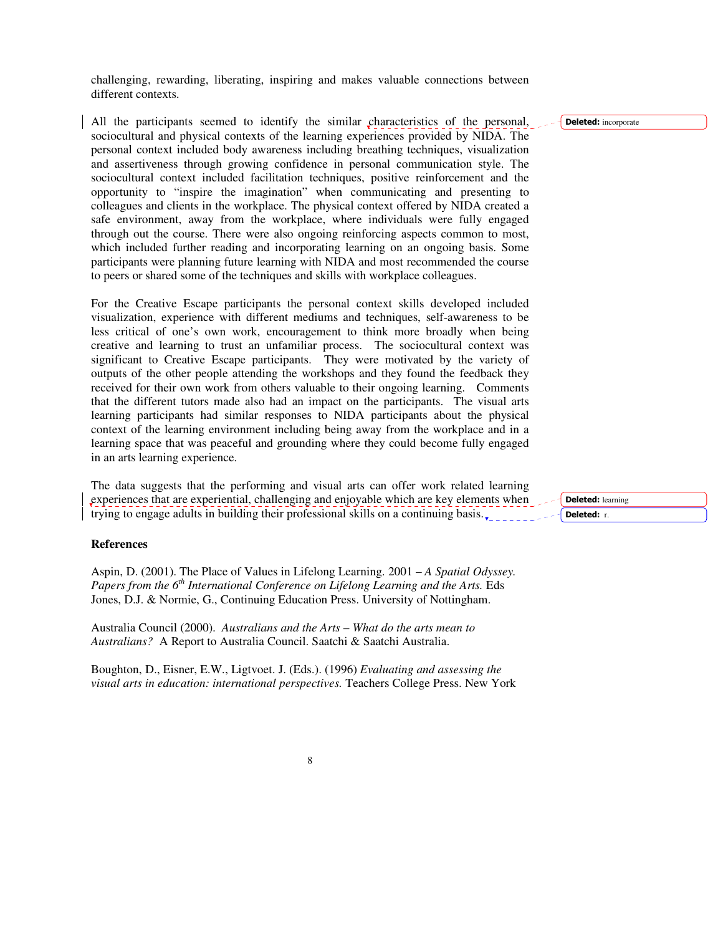challenging, rewarding, liberating, inspiring and makes valuable connections between different contexts.

All the participants seemed to identify the similar characteristics of the personal, sociocultural and physical contexts of the learning experiences provided by NIDA. The personal context included body awareness including breathing techniques, visualization and assertiveness through growing confidence in personal communication style. The sociocultural context included facilitation techniques, positive reinforcement and the opportunity to "inspire the imagination" when communicating and presenting to colleagues and clients in the workplace. The physical context offered by NIDA created a safe environment, away from the workplace, where individuals were fully engaged through out the course. There were also ongoing reinforcing aspects common to most, which included further reading and incorporating learning on an ongoing basis. Some participants were planning future learning with NIDA and most recommended the course to peers or shared some of the techniques and skills with workplace colleagues.

For the Creative Escape participants the personal context skills developed included visualization, experience with different mediums and techniques, self-awareness to be less critical of one's own work, encouragement to think more broadly when being creative and learning to trust an unfamiliar process. The sociocultural context was significant to Creative Escape participants. They were motivated by the variety of outputs of the other people attending the workshops and they found the feedback they received for their own work from others valuable to their ongoing learning. Comments that the different tutors made also had an impact on the participants. The visual arts learning participants had similar responses to NIDA participants about the physical context of the learning environment including being away from the workplace and in a learning space that was peaceful and grounding where they could become fully engaged in an arts learning experience.

The data suggests that the performing and visual arts can offer work related learning experiences that are experiential, challenging and enjoyable which are key elements when trying to engage adults in building their professional skills on a continuing basis.

## **References**

Aspin, D. (2001). The Place of Values in Lifelong Learning. 2001 – *A Spatial Odyssey. Papers from the 6 th International Conference on Lifelong Learning and the Arts.* Eds Jones, D.J. & Normie, G., Continuing Education Press. University of Nottingham.

Australia Council (2000). *Australians and the Arts – What do the arts mean to Australians?* A Report to Australia Council. Saatchi & Saatchi Australia.

Boughton, D., Eisner, E.W., Ligtvoet. J. (Eds.). (1996) *Evaluating and assessing the visual arts in education: international perspectives.* Teachers College Press. New York Deleted: incorporate

Deleted: learning Deleted: r.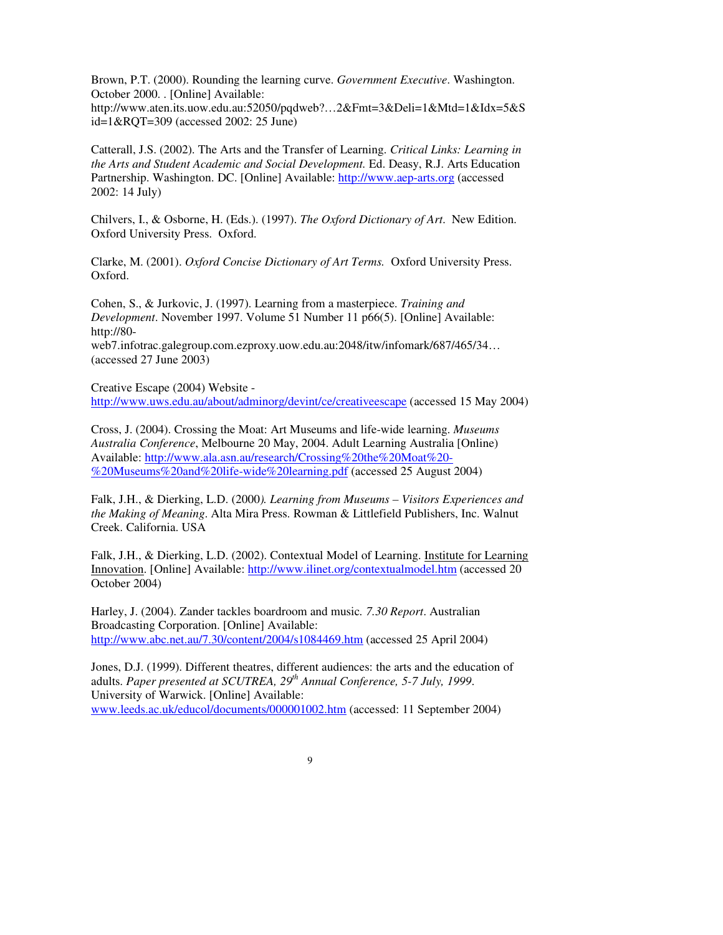Brown, P.T. (2000). Rounding the learning curve. *Government Executive*. Washington. October 2000. . [Online] Available: http://www.aten.its.uow.edu.au:52050/pqdweb?…2&Fmt=3&Deli=1&Mtd=1&Idx=5&S id=1&RQT=309 (accessed 2002: 25 June)

Catterall, J.S. (2002). The Arts and the Transfer of Learning. *Critical Links: Learning in the Arts and Student Academic and Social Development.* Ed. Deasy, R.J. Arts Education Partnership. Washington. DC. [Online] Available: http://www.aep-arts.org (accessed 2002: 14 July)

Chilvers, I., & Osborne, H. (Eds.). (1997). *The Oxford Dictionary of Art*. New Edition. Oxford University Press. Oxford.

Clarke, M. (2001). *Oxford Concise Dictionary of Art Terms.* Oxford University Press. Oxford.

Cohen, S., & Jurkovic, J. (1997). Learning from a masterpiece. *Training and Development*. November 1997. Volume 51 Number 11 p66(5). [Online] Available: http://80-

web7.infotrac.galegroup.com.ezproxy.uow.edu.au:2048/itw/infomark/687/465/34… (accessed 27 June 2003)

Creative Escape (2004) Website http://www.uws.edu.au/about/adminorg/devint/ce/creativeescape (accessed 15 May 2004)

Cross, J. (2004). Crossing the Moat: Art Museums and life-wide learning. *Museums Australia Conference*, Melbourne 20 May, 2004. Adult Learning Australia [Online) Available: http://www.ala.asn.au/research/Crossing%20the%20Moat%20- %20Museums%20and%20life-wide%20learning.pdf (accessed 25 August 2004)

Falk, J.H., & Dierking, L.D. (2000*). Learning from Museums – Visitors Experiences and the Making of Meaning*. Alta Mira Press. Rowman & Littlefield Publishers, Inc. Walnut Creek. California. USA

Falk, J.H., & Dierking, L.D. (2002). Contextual Model of Learning. Institute for Learning Innovation. [Online] Available: http://www.ilinet.org/contextualmodel.htm (accessed 20 October 2004)

Harley, J. (2004). Zander tackles boardroom and music*. 7.30 Report*. Australian Broadcasting Corporation. [Online] Available: http://www.abc.net.au/7.30/content/2004/s1084469.htm (accessed 25 April 2004)

Jones, D.J. (1999). Different theatres, different audiences: the arts and the education of adults. *Paper presented at SCUTREA, 29 th Annual Conference, 5-7 July, 1999*. University of Warwick. [Online] Available: www.leeds.ac.uk/educol/documents/000001002.htm (accessed: 11 September 2004)